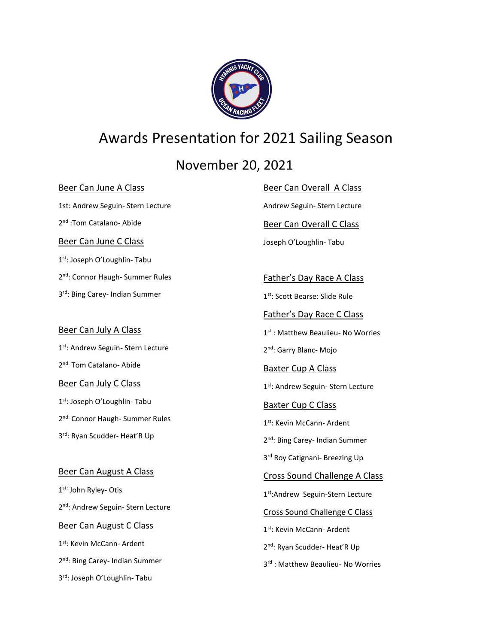

# Awards Presentation for 2021 Sailing Season

November 20, 2021

#### Beer Can June A Class

1st: Andrew Seguin- Stern Lecture 2<sup>nd</sup>:Tom Catalano- Abide Beer Can June C Class 1st: Joseph O'Loughlin- Tabu 2<sup>nd</sup>: Connor Haugh- Summer Rules 3 rd: Bing Carey- Indian Summer

#### Beer Can July A Class

- 1st: Andrew Seguin- Stern Lecture 2<sup>nd:</sup> Tom Catalano- Abide Beer Can July C Class
- 1st: Joseph O'Loughlin- Tabu 2<sup>nd:</sup> Connor Haugh- Summer Rules 3 rd: Ryan Scudder- Heat'R Up

#### Beer Can August A Class

1<sup>st:</sup> John Ryley- Otis 2<sup>nd</sup>: Andrew Seguin- Stern Lecture Beer Can August C Class 1<sup>st</sup>: Kevin McCann- Ardent 2<sup>nd</sup>: Bing Carey- Indian Summer

3 rd: Joseph O'Loughlin- Tabu

Beer Can Overall A Class Andrew Seguin- Stern Lecture

Beer Can Overall C Class

Joseph O'Loughlin- Tabu

Father's Day Race A Class

1 st: Scott Bearse: Slide Rule

Father's Day Race C Class

1<sup>st</sup> : Matthew Beaulieu- No Worries

2<sup>nd</sup>: Garry Blanc- Mojo

Baxter Cup A Class 1st: Andrew Seguin- Stern Lecture

#### Baxter Cup C Class

1<sup>st</sup>: Kevin McCann- Ardent

2<sup>nd</sup>: Bing Carey- Indian Summer

3<sup>rd</sup> Roy Catignani- Breezing Up

Cross Sound Challenge A Class

1st: Andrew Seguin-Stern Lecture

Cross Sound Challenge C Class

1st: Kevin McCann- Ardent

2<sup>nd</sup>: Ryan Scudder- Heat'R Up

3<sup>rd</sup>: Matthew Beaulieu- No Worries